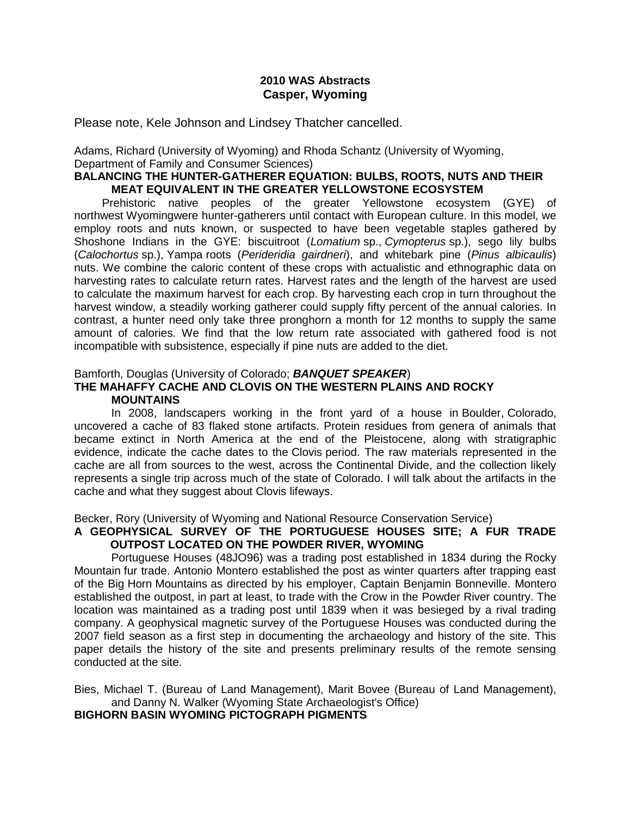## **2010 WAS Abstracts Casper, Wyoming**

Please note, Kele Johnson and Lindsey Thatcher cancelled.

Adams, Richard (University of Wyoming) and Rhoda Schantz (University of Wyoming, Department of Family and Consumer Sciences)

## **BALANCING THE HUNTER-GATHERER EQUATION: BULBS, ROOTS, NUTS AND THEIR MEAT EQUIVALENT IN THE GREATER YELLOWSTONE ECOSYSTEM**

Prehistoric native peoples of the greater Yellowstone ecosystem (GYE) of northwest Wyomingwere hunter-gatherers until contact with European culture. In this model, we employ roots and nuts known, or suspected to have been vegetable staples gathered by Shoshone Indians in the GYE: biscuitroot (*Lomatium* sp., *Cymopterus* sp.), sego lily bulbs (*Calochortus* sp.), Yampa roots (*Perideridia gairdneri*), and whitebark pine (*Pinus albicaulis*) nuts. We combine the caloric content of these crops with actualistic and ethnographic data on harvesting rates to calculate return rates. Harvest rates and the length of the harvest are used to calculate the maximum harvest for each crop. By harvesting each crop in turn throughout the harvest window, a steadily working gatherer could supply fifty percent of the annual calories. In contrast, a hunter need only take three pronghorn a month for 12 months to supply the same amount of calories. We find that the low return rate associated with gathered food is not incompatible with subsistence, especially if pine nuts are added to the diet.

## Bamforth, Douglas (University of Colorado; *BANQUET SPEAKER*)

### **THE MAHAFFY CACHE AND CLOVIS ON THE WESTERN PLAINS AND ROCKY MOUNTAINS**

In 2008, landscapers working in the front yard of a house in Boulder, Colorado, uncovered a cache of 83 flaked stone artifacts. Protein residues from genera of animals that became extinct in North America at the end of the Pleistocene, along with stratigraphic evidence, indicate the cache dates to the Clovis period. The raw materials represented in the cache are all from sources to the west, across the Continental Divide, and the collection likely represents a single trip across much of the state of Colorado. I will talk about the artifacts in the cache and what they suggest about Clovis lifeways.

Becker, Rory (University of Wyoming and National Resource Conservation Service)

### **A GEOPHYSICAL SURVEY OF THE PORTUGUESE HOUSES SITE; A FUR TRADE OUTPOST LOCATED ON THE POWDER RIVER, WYOMING**

Portuguese Houses (48JO96) was a trading post established in 1834 during the Rocky Mountain fur trade. Antonio Montero established the post as winter quarters after trapping east of the Big Horn Mountains as directed by his employer, Captain Benjamin Bonneville. Montero established the outpost, in part at least, to trade with the Crow in the Powder River country. The location was maintained as a trading post until 1839 when it was besieged by a rival trading company. A geophysical magnetic survey of the Portuguese Houses was conducted during the 2007 field season as a first step in documenting the archaeology and history of the site. This paper details the history of the site and presents preliminary results of the remote sensing conducted at the site.

Bies, Michael T. (Bureau of Land Management), Marit Bovee (Bureau of Land Management), and Danny N. Walker (Wyoming State Archaeologist's Office)

**BIGHORN BASIN WYOMING PICTOGRAPH PIGMENTS**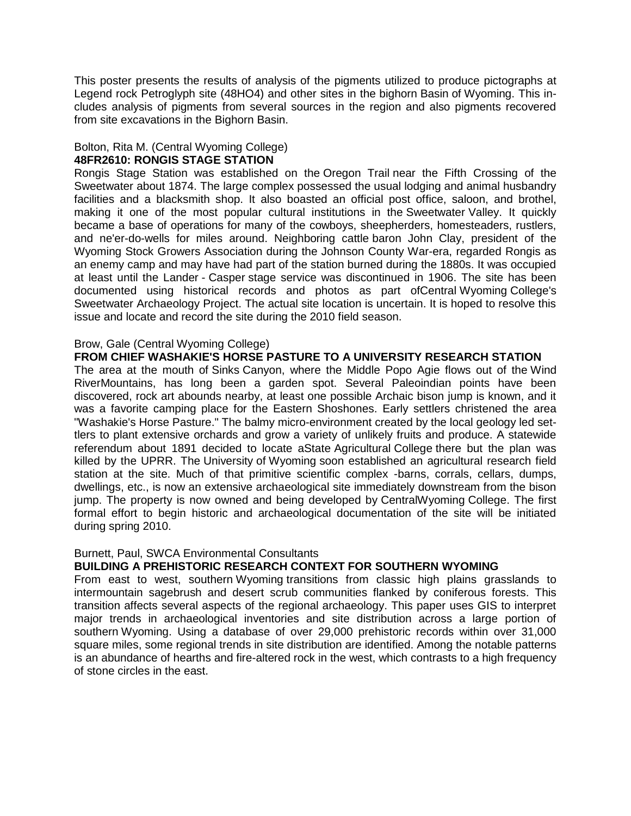This poster presents the results of analysis of the pigments utilized to produce pictographs at Legend rock Petroglyph site (48HO4) and other sites in the bighorn Basin of Wyoming. This includes analysis of pigments from several sources in the region and also pigments recovered from site excavations in the Bighorn Basin.

## Bolton, Rita M. (Central Wyoming College) **48FR2610: RONGIS STAGE STATION**

Rongis Stage Station was established on the Oregon Trail near the Fifth Crossing of the Sweetwater about 1874. The large complex possessed the usual lodging and animal husbandry facilities and a blacksmith shop. It also boasted an official post office, saloon, and brothel, making it one of the most popular cultural institutions in the Sweetwater Valley. It quickly became a base of operations for many of the cowboys, sheepherders, homesteaders, rustlers, and ne'er-do-wells for miles around. Neighboring cattle baron John Clay, president of the Wyoming Stock Growers Association during the Johnson County War-era, regarded Rongis as an enemy camp and may have had part of the station burned during the 1880s. It was occupied at least until the Lander - Casper stage service was discontinued in 1906. The site has been documented using historical records and photos as part ofCentral Wyoming College's Sweetwater Archaeology Project. The actual site location is uncertain. It is hoped to resolve this issue and locate and record the site during the 2010 field season.

## Brow, Gale (Central Wyoming College)

**FROM CHIEF WASHAKIE'S HORSE PASTURE TO A UNIVERSITY RESEARCH STATION**

The area at the mouth of Sinks Canyon, where the Middle Popo Agie flows out of the Wind RiverMountains, has long been a garden spot. Several Paleoindian points have been discovered, rock art abounds nearby, at least one possible Archaic bison jump is known, and it was a favorite camping place for the Eastern Shoshones. Early settlers christened the area "Washakie's Horse Pasture." The balmy micro-environment created by the local geology led settlers to plant extensive orchards and grow a variety of unlikely fruits and produce. A statewide referendum about 1891 decided to locate aState Agricultural College there but the plan was killed by the UPRR. The University of Wyoming soon established an agricultural research field station at the site. Much of that primitive scientific complex -barns, corrals, cellars, dumps, dwellings, etc., is now an extensive archaeological site immediately downstream from the bison jump. The property is now owned and being developed by CentralWyoming College. The first formal effort to begin historic and archaeological documentation of the site will be initiated during spring 2010.

### Burnett, Paul, SWCA Environmental Consultants

### **BUILDING A PREHISTORIC RESEARCH CONTEXT FOR SOUTHERN WYOMING**

From east to west, southern Wyoming transitions from classic high plains grasslands to intermountain sagebrush and desert scrub communities flanked by coniferous forests. This transition affects several aspects of the regional archaeology. This paper uses GIS to interpret major trends in archaeological inventories and site distribution across a large portion of southern Wyoming. Using a database of over 29,000 prehistoric records within over 31,000 square miles, some regional trends in site distribution are identified. Among the notable patterns is an abundance of hearths and fire-altered rock in the west, which contrasts to a high frequency of stone circles in the east.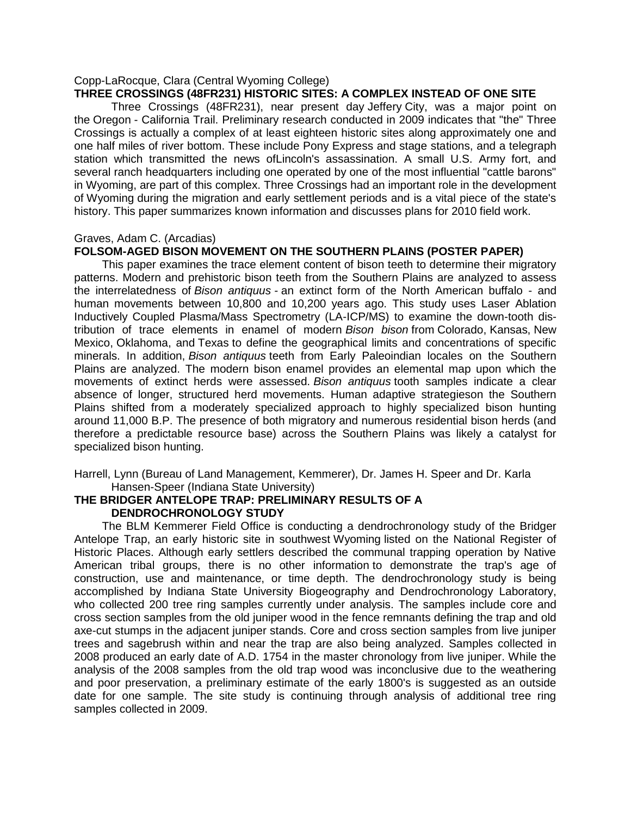#### Copp-LaRocque, Clara (Central Wyoming College) **THREE CROSSINGS (48FR231) HISTORIC SITES: A COMPLEX INSTEAD OF ONE SITE**

Three Crossings (48FR231), near present day Jeffery City, was a major point on the Oregon - California Trail. Preliminary research conducted in 2009 indicates that "the" Three Crossings is actually a complex of at least eighteen historic sites along approximately one and one half miles of river bottom. These include Pony Express and stage stations, and a telegraph station which transmitted the news ofLincoln's assassination. A small U.S. Army fort, and several ranch headquarters including one operated by one of the most influential "cattle barons" in Wyoming, are part of this complex. Three Crossings had an important role in the development of Wyoming during the migration and early settlement periods and is a vital piece of the state's history. This paper summarizes known information and discusses plans for 2010 field work.

#### Graves, Adam C. (Arcadias)

### **FOLSOM-AGED BISON MOVEMENT ON THE SOUTHERN PLAINS (POSTER PAPER)**

This paper examines the trace element content of bison teeth to determine their migratory patterns. Modern and prehistoric bison teeth from the Southern Plains are analyzed to assess the interrelatedness of *Bison antiquus -* an extinct form of the North American buffalo - and human movements between 10,800 and 10,200 years ago. This study uses Laser Ablation Inductively Coupled Plasma/Mass Spectrometry (LA-ICP/MS) to examine the down-tooth distribution of trace elements in enamel of modern *Bison bison* from Colorado, Kansas, New Mexico, Oklahoma, and Texas to define the geographical limits and concentrations of specific minerals. In addition, *Bison antiquus* teeth from Early Paleoindian locales on the Southern Plains are analyzed. The modern bison enamel provides an elemental map upon which the movements of extinct herds were assessed. *Bison antiquus* tooth samples indicate a clear absence of longer, structured herd movements. Human adaptive strategieson the Southern Plains shifted from a moderately specialized approach to highly specialized bison hunting around 11,000 B.P. The presence of both migratory and numerous residential bison herds (and therefore a predictable resource base) across the Southern Plains was likely a catalyst for specialized bison hunting.

Harrell, Lynn (Bureau of Land Management, Kemmerer), Dr. James H. Speer and Dr. Karla Hansen-Speer (Indiana State University)

### **THE BRIDGER ANTELOPE TRAP: PRELIMINARY RESULTS OF A DENDROCHRONOLOGY STUDY**

The BLM Kemmerer Field Office is conducting a dendrochronology study of the Bridger Antelope Trap, an early historic site in southwest Wyoming listed on the National Register of Historic Places. Although early settlers described the communal trapping operation by Native American tribal groups, there is no other information to demonstrate the trap's age of construction, use and maintenance, or time depth. The dendrochronology study is being accomplished by Indiana State University Biogeography and Dendrochronology Laboratory, who collected 200 tree ring samples currently under analysis. The samples include core and cross section samples from the old juniper wood in the fence remnants defining the trap and old axe-cut stumps in the adjacent juniper stands. Core and cross section samples from live juniper trees and sagebrush within and near the trap are also being analyzed. Samples collected in 2008 produced an early date of A.D. 1754 in the master chronology from live juniper. While the analysis of the 2008 samples from the old trap wood was inconclusive due to the weathering and poor preservation, a preliminary estimate of the early 1800's is suggested as an outside date for one sample. The site study is continuing through analysis of additional tree ring samples collected in 2009.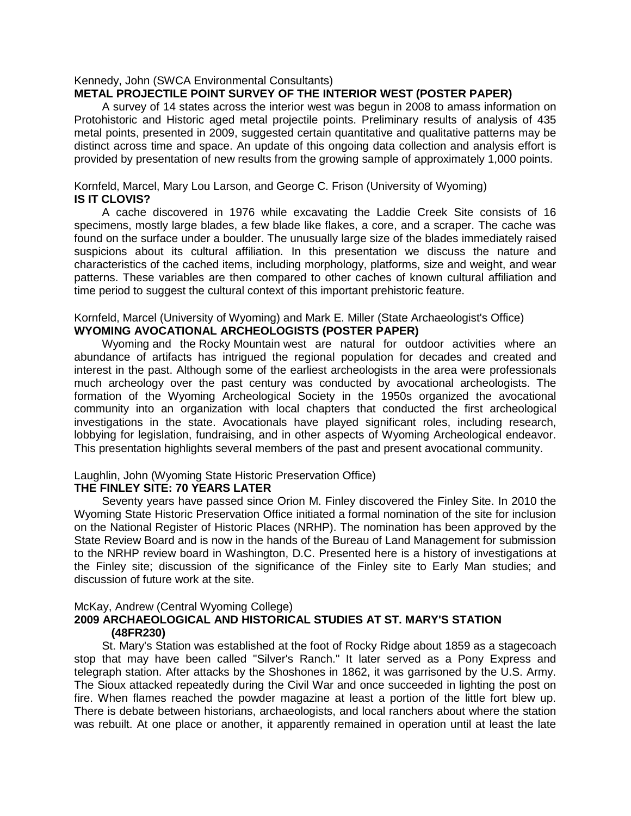### Kennedy, John (SWCA Environmental Consultants) **METAL PROJECTILE POINT SURVEY OF THE INTERIOR WEST (POSTER PAPER)**

A survey of 14 states across the interior west was begun in 2008 to amass information on Protohistoric and Historic aged metal projectile points. Preliminary results of analysis of 435 metal points, presented in 2009, suggested certain quantitative and qualitative patterns may be distinct across time and space. An update of this ongoing data collection and analysis effort is provided by presentation of new results from the growing sample of approximately 1,000 points.

### Kornfeld, Marcel, Mary Lou Larson, and George C. Frison (University of Wyoming) **IS IT CLOVIS?**

A cache discovered in 1976 while excavating the Laddie Creek Site consists of 16 specimens, mostly large blades, a few blade like flakes, a core, and a scraper. The cache was found on the surface under a boulder. The unusually large size of the blades immediately raised suspicions about its cultural affiliation. In this presentation we discuss the nature and characteristics of the cached items, including morphology, platforms, size and weight, and wear patterns. These variables are then compared to other caches of known cultural affiliation and time period to suggest the cultural context of this important prehistoric feature.

#### Kornfeld, Marcel (University of Wyoming) and Mark E. Miller (State Archaeologist's Office) **WYOMING AVOCATIONAL ARCHEOLOGISTS (POSTER PAPER)**

Wyoming and the Rocky Mountain west are natural for outdoor activities where an abundance of artifacts has intrigued the regional population for decades and created and interest in the past. Although some of the earliest archeologists in the area were professionals much archeology over the past century was conducted by avocational archeologists. The formation of the Wyoming Archeological Society in the 1950s organized the avocational community into an organization with local chapters that conducted the first archeological investigations in the state. Avocationals have played significant roles, including research, lobbying for legislation, fundraising, and in other aspects of Wyoming Archeological endeavor. This presentation highlights several members of the past and present avocational community.

# Laughlin, John (Wyoming State Historic Preservation Office)

### **THE FINLEY SITE: 70 YEARS LATER**

Seventy years have passed since Orion M. Finley discovered the Finley Site. In 2010 the Wyoming State Historic Preservation Office initiated a formal nomination of the site for inclusion on the National Register of Historic Places (NRHP). The nomination has been approved by the State Review Board and is now in the hands of the Bureau of Land Management for submission to the NRHP review board in Washington, D.C. Presented here is a history of investigations at the Finley site; discussion of the significance of the Finley site to Early Man studies; and discussion of future work at the site.

### McKay, Andrew (Central Wyoming College)

## **2009 ARCHAEOLOGICAL AND HISTORICAL STUDIES AT ST. MARY'S STATION (48FR230)**

St. Mary's Station was established at the foot of Rocky Ridge about 1859 as a stagecoach stop that may have been called "Silver's Ranch." It later served as a Pony Express and telegraph station. After attacks by the Shoshones in 1862, it was garrisoned by the U.S. Army. The Sioux attacked repeatedly during the Civil War and once succeeded in lighting the post on fire. When flames reached the powder magazine at least a portion of the little fort blew up. There is debate between historians, archaeologists, and local ranchers about where the station was rebuilt. At one place or another, it apparently remained in operation until at least the late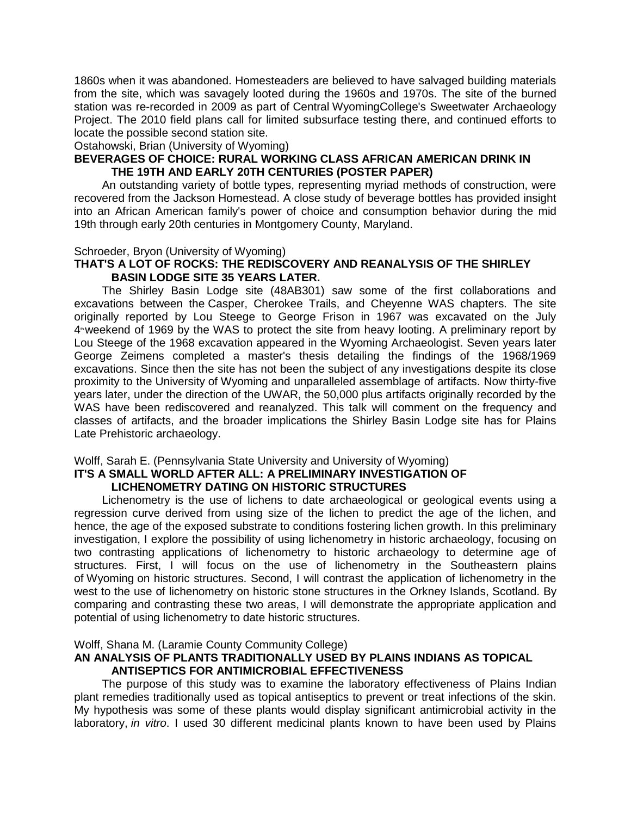1860s when it was abandoned. Homesteaders are believed to have salvaged building materials from the site, which was savagely looted during the 1960s and 1970s. The site of the burned station was re-recorded in 2009 as part of Central WyomingCollege's Sweetwater Archaeology Project. The 2010 field plans call for limited subsurface testing there, and continued efforts to locate the possible second station site.

Ostahowski, Brian (University of Wyoming)

## **BEVERAGES OF CHOICE: RURAL WORKING CLASS AFRICAN AMERICAN DRINK IN THE 19TH AND EARLY 20TH CENTURIES (POSTER PAPER)**

An outstanding variety of bottle types, representing myriad methods of construction, were recovered from the Jackson Homestead. A close study of beverage bottles has provided insight into an African American family's power of choice and consumption behavior during the mid 19th through early 20th centuries in Montgomery County, Maryland.

### Schroeder, Bryon (University of Wyoming)

### **THAT'S A LOT OF ROCKS: THE REDISCOVERY AND REANALYSIS OF THE SHIRLEY BASIN LODGE SITE 35 YEARS LATER.**

The Shirley Basin Lodge site (48AB301) saw some of the first collaborations and excavations between the Casper, Cherokee Trails, and Cheyenne WAS chapters. The site originally reported by Lou Steege to George Frison in 1967 was excavated on the July  $4<sup>*</sup>$  weekend of 1969 by the WAS to protect the site from heavy looting. A preliminary report by Lou Steege of the 1968 excavation appeared in the Wyoming Archaeologist. Seven years later George Zeimens completed a master's thesis detailing the findings of the 1968/1969 excavations. Since then the site has not been the subject of any investigations despite its close proximity to the University of Wyoming and unparalleled assemblage of artifacts. Now thirty-five years later, under the direction of the UWAR, the 50,000 plus artifacts originally recorded by the WAS have been rediscovered and reanalyzed. This talk will comment on the frequency and classes of artifacts, and the broader implications the Shirley Basin Lodge site has for Plains Late Prehistoric archaeology.

# Wolff, Sarah E. (Pennsylvania State University and University of Wyoming)

# **IT'S A SMALL WORLD AFTER ALL: A PRELIMINARY INVESTIGATION OF LICHENOMETRY DATING ON HISTORIC STRUCTURES**

Lichenometry is the use of lichens to date archaeological or geological events using a regression curve derived from using size of the lichen to predict the age of the lichen, and hence, the age of the exposed substrate to conditions fostering lichen growth. In this preliminary investigation, I explore the possibility of using lichenometry in historic archaeology, focusing on two contrasting applications of lichenometry to historic archaeology to determine age of structures. First, I will focus on the use of lichenometry in the Southeastern plains of Wyoming on historic structures. Second, I will contrast the application of lichenometry in the west to the use of lichenometry on historic stone structures in the Orkney Islands, Scotland. By comparing and contrasting these two areas, I will demonstrate the appropriate application and potential of using lichenometry to date historic structures.

### Wolff, Shana M. (Laramie County Community College)

## **AN ANALYSIS OF PLANTS TRADITIONALLY USED BY PLAINS INDIANS AS TOPICAL ANTISEPTICS FOR ANTIMICROBIAL EFFECTIVENESS**

The purpose of this study was to examine the laboratory effectiveness of Plains Indian plant remedies traditionally used as topical antiseptics to prevent or treat infections of the skin. My hypothesis was some of these plants would display significant antimicrobial activity in the laboratory, *in vitro*. I used 30 different medicinal plants known to have been used by Plains